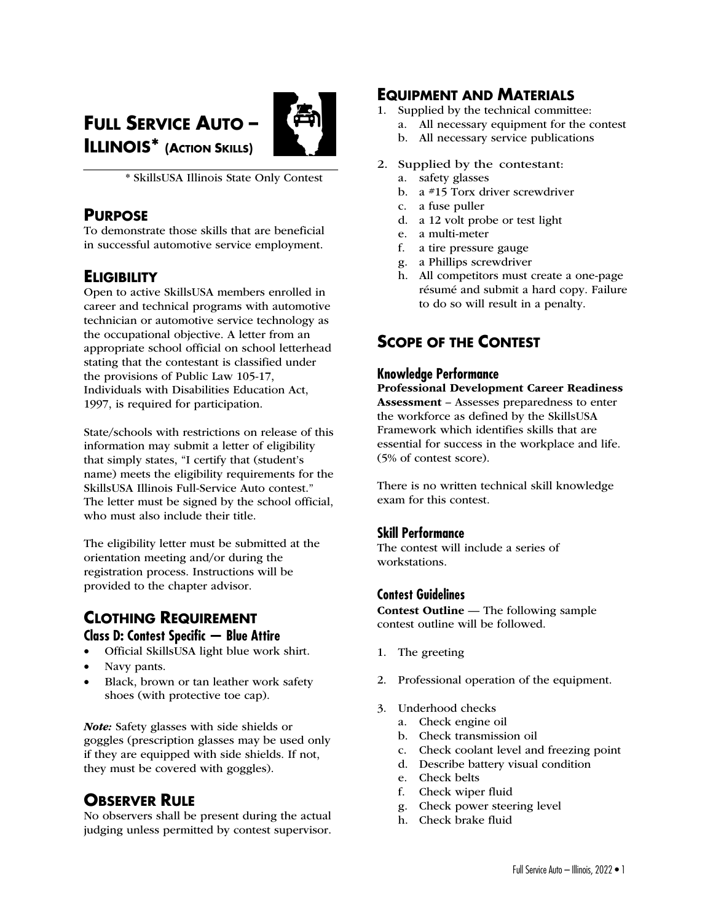# **FULL SERVICE AUTO – ILLINOIS\* (ACTION SKILLS)**



\* SkillsUSA Illinois State Only Contest

### **PURPOSE**

To demonstrate those skills that are beneficial in successful automotive service employment.

# **ELIGIBILITY**

Open to active SkillsUSA members enrolled in career and technical programs with automotive technician or automotive service technology as the occupational objective. A letter from an appropriate school official on school letterhead stating that the contestant is classified under the provisions of Public Law 105-17, Individuals with Disabilities Education Act, 1997, is required for participation.

State/schools with restrictions on release of this information may submit a letter of eligibility that simply states, "I certify that (student's name) meets the eligibility requirements for the SkillsUSA Illinois Full-Service Auto contest." The letter must be signed by the school official, who must also include their title.

The eligibility letter must be submitted at the orientation meeting and/or during the registration process. Instructions will be provided to the chapter advisor.

# **CLOTHING REQUIREMENT Class D: Contest Specific — Blue Attire**

- Official SkillsUSA light blue work shirt.
- Navy pants.
- Black, brown or tan leather work safety shoes (with protective toe cap).

*Note:* Safety glasses with side shields or goggles (prescription glasses may be used only if they are equipped with side shields. If not, they must be covered with goggles).

# **OBSERVER RULE**

No observers shall be present during the actual judging unless permitted by contest supervisor.

# **EQUIPMENT AND MATERIALS**

- 1. Supplied by the technical committee:
	- a. All necessary equipment for the contest
		- b. All necessary service publications
- 2. Supplied by the contestant:
	- a. safety glasses
	- b. a #15 Torx driver screwdriver
	- c. a fuse puller
	- d. a 12 volt probe or test light
	- e. a multi-meter
	- f. a tire pressure gauge
	- g. a Phillips screwdriver
	- h. All competitors must create a one-page résumé and submit a hard copy. Failure to do so will result in a penalty.

# **SCOPE OF THE CONTEST**

### **Knowledge Performance**

Professional Development Career Readiness Assessment – Assesses preparedness to enter the workforce as defined by the SkillsUSA Framework which identifies skills that are essential for success in the workplace and life. (5% of contest score).

There is no written technical skill knowledge exam for this contest.

### **Skill Performance**

The contest will include a series of workstations.

### **Contest Guidelines**

Contest Outline — The following sample contest outline will be followed.

- 1. The greeting
- 2. Professional operation of the equipment.
- 3. Underhood checks
	- a. Check engine oil
	- b. Check transmission oil
	- c. Check coolant level and freezing point
	- d. Describe battery visual condition
	- e. Check belts
	- f. Check wiper fluid
	- g. Check power steering level
	- h. Check brake fluid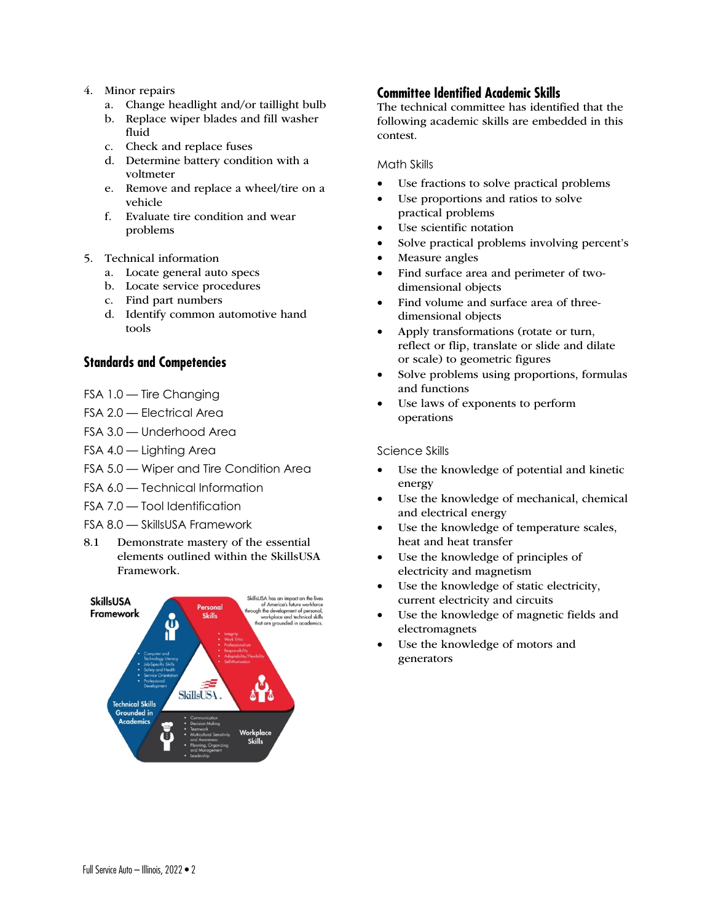#### 4. Minor repairs

- a. Change headlight and/or taillight bulb
- b. Replace wiper blades and fill washer fluid
- c. Check and replace fuses
- d. Determine battery condition with a voltmeter
- e. Remove and replace a wheel/tire on a vehicle
- f. Evaluate tire condition and wear problems
- 5. Technical information
	- a. Locate general auto specs
	- b. Locate service procedures
	- c. Find part numbers
	- d. Identify common automotive hand tools

### **Standards and Competencies**

- FSA 1.0 Tire Changing
- FSA 2.0 Electrical Area
- FSA 3.0 Underhood Area
- FSA 4.0 Lighting Area
- FSA 5.0 Wiper and Tire Condition Area
- FSA 6.0 Technical Information
- FSA 7.0 Tool Identification
- FSA 8.0 SkillsUSA Framework
- 8.1 Demonstrate mastery of the essential elements outlined within the SkillsUSA Framework.



### **Committee Identified Academic Skills**

The technical committee has identified that the following academic skills are embedded in this contest.

Math Skills

- Use fractions to solve practical problems
- Use proportions and ratios to solve practical problems
- Use scientific notation
- Solve practical problems involving percent's
- Measure angles
- Find surface area and perimeter of twodimensional objects
- Find volume and surface area of threedimensional objects
- Apply transformations (rotate or turn, reflect or flip, translate or slide and dilate or scale) to geometric figures
- Solve problems using proportions, formulas and functions
- Use laws of exponents to perform operations

#### Science Skills

- Use the knowledge of potential and kinetic energy
- Use the knowledge of mechanical, chemical and electrical energy
- Use the knowledge of temperature scales, heat and heat transfer
- Use the knowledge of principles of electricity and magnetism
- Use the knowledge of static electricity, current electricity and circuits
- Use the knowledge of magnetic fields and electromagnets
- Use the knowledge of motors and generators